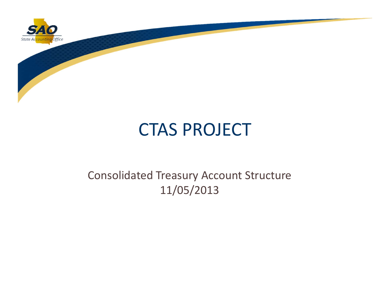

# CTAS PROJECT

### Consolidated Treasury Account Structure 11/05/2013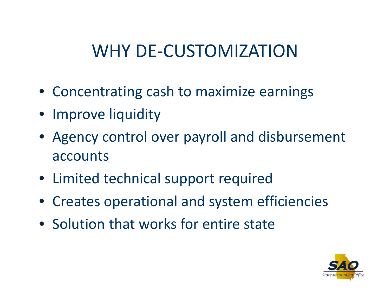# WHY DE‐CUSTOMIZATION

- Concentrating cash to maximize earnings
- Improve liquidity
- Agency control over payroll and disbursement accounts
- Limited technical support required
- Creates operational and system efficiencies
- Solution that works for entire state

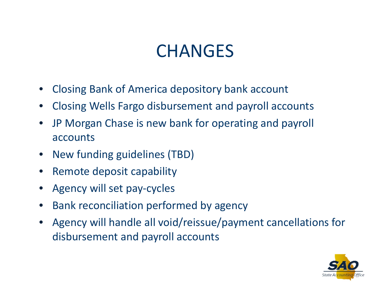## **CHANGES**

- •Closing Bank of America depository bank account
- •Closing Wells Fargo disbursement and payroll accounts
- $\bullet$  JP Morgan Chase is new bank for operating and payroll accounts
- •New funding guidelines (TBD)
- •• Remote deposit capability
- •Agency will set pay‐cycles
- •**•** Bank reconciliation performed by agency
- • Agency will handle all void/reissue/payment cancellations for disbursement and payroll accounts

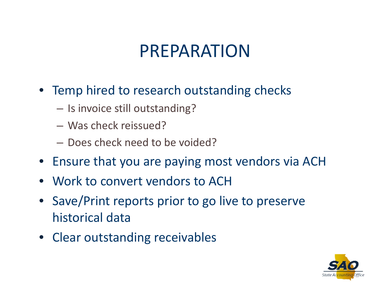# PREPARATION

- Temp hired to research outstanding checks
	- $\mathcal{L}_{\mathcal{A}}$  $-$  Is invoice still outstanding?
	- Was check reissued?
	- Does check need to be voided?
- Ensure that you are paying most vendors via ACH
- Work to convert vendors to ACH
- Save/Print reports prior to go live to preserve historical data
- Clear outstanding receivables

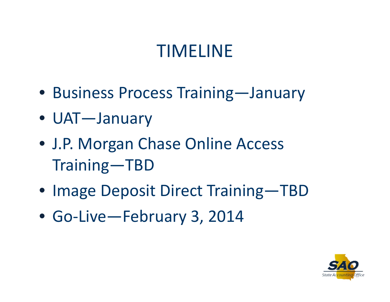# TIMELINE

- Business Process Training—January
- UAT—January
- J.P. Morgan Chase Online Access Training—TBD
- Image Deposit Direct Training—TBD
- Go‐Live—February 3, 2014